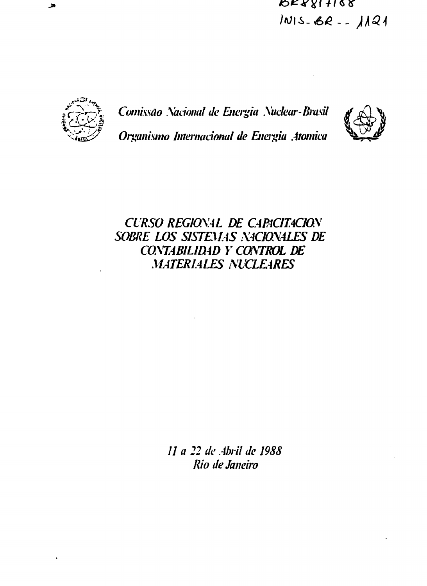$R$ K $81 + 168$ INIS-BR-- 1121



Comissão Nacional de Energia Nuclear-Brasil Organismo Internacional de Energia Atomica



# **CURSO REGIONAL DE CAPACITACION** SOBRE LOS SISTEMAS NACIONALES DE CONTABILIDAD Y CONTROL DE **MATERIALES NUCLEARES**

11 a 22 de Abril de 1988 Rio de Janeiro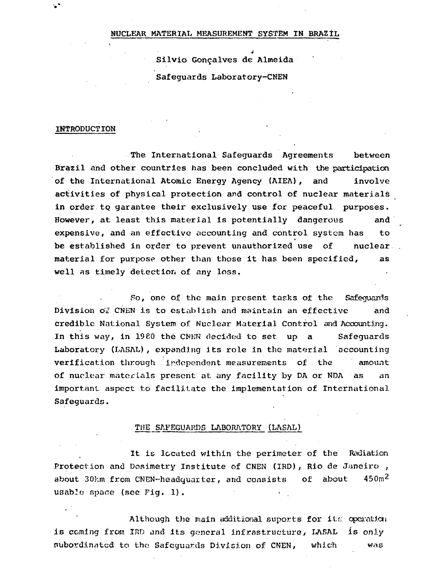#### NUCLEAR MATERIAL MEASUREMENT SYSTEM IN BRAZIL

è Silvio Gonçalves de Almeida Safeguards Laboratory-CNEN

#### **INTRODUCTION**

The International Safeguards Agreements between Brazil and other countries has been concluded with the participation of the International Atomic Energy Agency (AIEA), and involve activities of physical protection and control of nuclear materials in order to garantee their exclusively use for peaceful purposes. However, at least this material is potentially dangerous and expensive, and an effective accounting and control system has to be established in order to prevent unauthorized use of nuclear material for purpose other than those it has been specified, as well as timely detection of any loss.

So, one of the main present tasks of the Safeguards Division of CNEN is to establish and maintain an effective and credible National System of Nuclear Material Control and Accounting. In this way, in 1980 the CNEN decided to set up a Safeguards Laboratory (LASAL), expanding its role in the material accounting verification through independent measurements of the amount of nuclear materials present at any facility by DA or NDA as an important aspect to facilitate the implementation of International Safeguards.

#### THE SAFEGUARDS LABORATORY (LASAL)

It is located within the perimeter of the Radiation Protection and Dosimetry Institute of CNEN (IRD), Rio de Janeiro , about 30km from CNEN-headquarter, and consists of about  $450m^2$ usabüe space (see Fig. 1).

Although the main additional suports for its operation is coming from IRD and its general infrastructure, LASAL is only subordinated to the Safeguards Division of CNEN, which was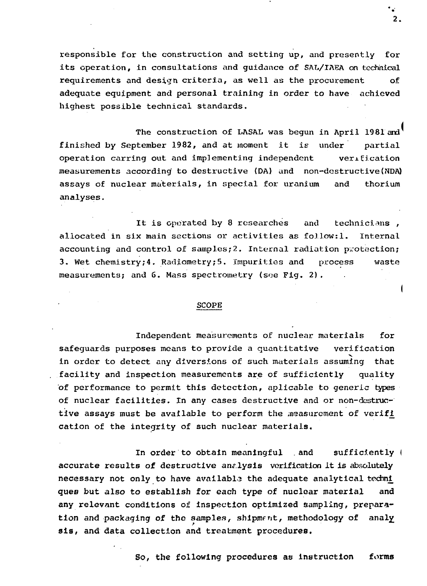responsible for the construction and setting up, and presently for its operation, in consultations and guidance of SAL/IAEA on technical requirements and design criteria, as well as the procurement of adequate equipment and personal training in order to have achieved highest possible technical standards.

The construction of LASAL was begun in April 1981 and finished by September 1982, and at moment it is under partial operation carring out and implementing independent verification measurements according to destructive (DA) and non-destructive (NDA) assays of nuclear materials, in special for uranium and thorium analyses.

It is operated by 8 researches and technicians, allocated in six main sections or activities as follow:1. Internal accounting and control of samples; 2. Internal radiation protection; 3. Wet chemistry;4. Radiometry;5. Impurities and process waste measurements; and 6. Mass spectrometry (soe Fig. 2).

#### SCOPE

Independent measurements of nuclear materials for safeguards purposes means to provide a quantitative verification in order to detect any diversions of such materials assuming that facility and inspection measurements are of sufficiently quality of performance to permit this detection, aplicable to generic types of nuclear facilities. In any cases destructive and or non-destructive assays must be available to perform the measurement of verifi cation of the integrity of such nuclear materials.

In order to obtain meaningful and sufficiently ( accurate results of destructive analysis verification it is absolutely necessary not only to have available the adequate analytical techni ques but also to establish for each type of nuclear material and any relevant conditions of inspection optimized sampling, preparation and packaging of the samples, shipment, methodology of analy sis, and data collection and treatment procedures.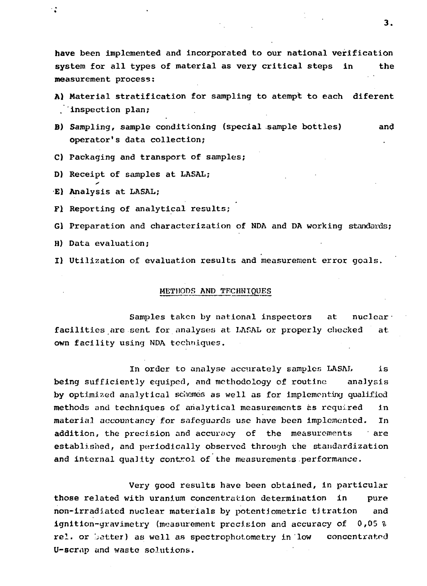have been implemented and incorporated to our national verification system for all types of material as very critical steps in the measurement process:

- A) Material stratification for sampling to atempt to each diferent inspection plan;
- B) Sampling, sample conditioning (special sample bottles) and operator's data collection;
- C) Packaging and transport of samples;
- D) Receipt of samples at LASAL;
- E) Analysis at LASAL;

۰.

Fl Reporting of analytical results;

Gl Preparation and characterization of NDA and DA working standards;

- H) Data evaluation;
- I) Utilization of evaluation results and measurement error goals.

#### METHODS AND TECHNIQUES

Samples taken by national inspectors at nuclear. facilities are sent for analyses at LASAL or properly checked at own facility using NDA techniques.

In order to analyse accurately samples LASAL is being sufficiently equiped, and methodology of routine analysis by optimized analytical schanes as well as for implementing qualified methods and techniques of analytical measurements as required in material accountancy for safeguards use have been implemented. In addition, the precision and accuracy of the measurements ' are established, and periodically observed through the standardization and internal quality control of the measurements performance.

Very good results have been obtained, in particular those related with uranium concentration determination in pure non-irradiated nuclear materials by potentiometric titration and ignition-gravimetry (measurement precision and accuracy of 0,05 % rel. or batter) as well as spectrophotometry in low concentrated U-scrnp and waste solutions.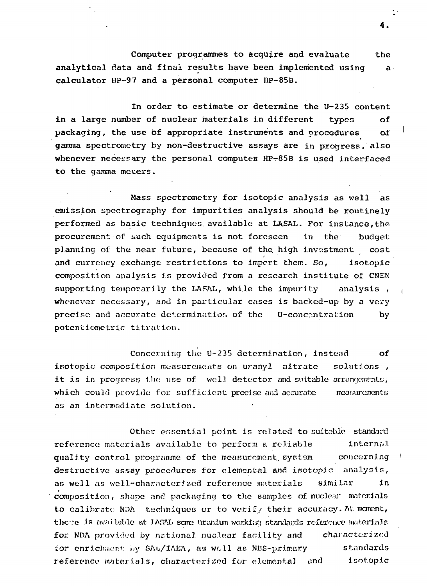Computer programmes to acquire and evaluate the analytical data and final results have been implemented using a calculator HP-97 and a personal computer HP-85B.

In order to estimate or determine the U-235 content in a large number of nuclear materials in different types of packaging, the use of appropriate instruments and procedures of gamma spectrometry by non-destructive assays are in progress, also whenever necessary the personal computes HP-85B is used interfaced to the gamma meters.

Mass spectrometry for isotopic analysis as well as emission spectrography for impurities analysis should be routinely performed as basic techniques available at LASAL. Por instance,the procurement of such equipments is not foreseen in the budget planning of the near future, because of the, high investment cost and currency exchange restrictions to import them. So, isotopic composition analysis is provided from a research institute of CNEN<br>supporting temporarily the LASAL, while the impurity analysis, supporting temporarily the LASAL, while the impurity whenever necessary, and in particular cases is backed-up by a very<br>precise and accurate determination of the U-concentration by precise and accurate determination of the potentiometric titration.

Concerning the U-235 determination, instead of isotopic composition measurements on uranyl nitrate solutions , it is in progress 1.ho use of well detector and suitable arrangements, which could provide for sufficient precise and accurate measurements as an intermediate solution.

Other essential point is related to suitable standard reference materials available to perform a reliable internal quality control programme of the measurement, system concerning destructive assay procedures for elemental and inotopic analysis, as well as well-characterized reference materials similar in composition, shape and packaging to the samples of nuclear materials to calibrate NDA techniques or to verify their accuracy. At. mement, there is available at IASM, some uranium working standards reference materials for NDA provided by national nuclear facility and characterized for enrichment by SAL/IAEA, as well as NBS-primary standards reference materials, characterized for elemental and isotopic

4.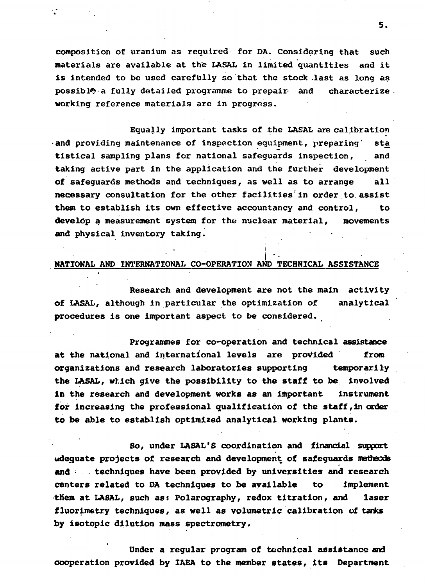**composition of uranium as required for DA. Considering that such materials are available at the LASAL in limited quantities and it is intended to be used carefully so that the stock last as long as possibly-a fully detailed programme to prepair and characterize working reference materials are in progress.**

÷

**Equally important tasks of the LASAL are calibration •and providing maintenance of inspection equipment, preparing" sta tistical sampling plans for national safeguards inspection, and taking active part in the application and the further development of safeguards methods and techniques, as well as to arrange all necessary consultation for the other facilities'in order to assist them to establish its own effective accountancy and control, to develop a measurement system for the nuclear material, movements and physical inventory taking. •**

#### **NATIONAL AND INTERNATIONAL CO-OPERATION AND TECHNICAL ASSISTANCE**

 $\ddot{\phantom{1}}$ 

**Research and development are not the main activity of LASAL, although in particular the optimization of analytical procedures is one important aspect to be considered.**

**Programmes for co-operation and technical assistance at the national and international levels are provided from organizations and research laboratories supporting temporarily the LASAL, which give the possibility to the staff to be involved in the research and development works as an important instrument for increasing the professional qualification of the staff, in order to be able to establish optimized analytical working plants.**

**So, under LASAL'S coordination and financial support adequate projects of research and development of safeguards methacds** and the techniques have been provided by universities and research **centers related to DA techniques to be available to implement tliem at LASAL, such as: Polarography, redox titration, and laser fluorimetry techniques, as well as volumetric calibration of tanks by isotopic dilution mass spectrometry.**

**Under a regular program of technical assistance and cooperation provided by IAEA to the member states, its Department**

5.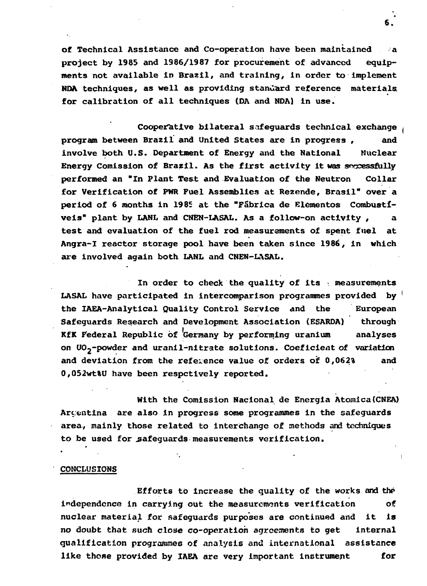**of Technical Assistance and Co-operation have been maintained a project by 1985 and 1986/1987 for procurement of advanced equipments not available in Brazil, and training, in order to implement NDA techniques, as well as providing standard reference materials, for calibration of all techniques (DA and NDA) in use.**

**Cooperative bilateral safeguards technical exchange program between Brazil and United States are in progress , and involve both U.S. Department of Energy and the National Nuclear Energy Comission of Brazil. As the first activity it was successfully performed an "In Plant Test and Evaluation of the Neutron Collar for Verification of PWR Fuel Assemblies at Rezende, Brasil" over a period of 6 months in 1985 at the "Fabrica de Elementos Combustíveis" plant by LANL and CNEN-LASAL. As a follow-on activity , a test and evaluation of the fuel rod measurements of spent fuel at Angra-I reactor storage pool have been taken since 1986, in which are involved again both LANL and CNEN-LASAL.**

**In order to check the quality of its • measurements LASAL have participated in intercomparison programmes provided by the IAEA-Analytical Quality Control Service and the European Safeguards Research and Development Association (ESARDA) through KfK federal Republic òf Germany by performing uranium analyses on U02~powder and uranil-nitrate solutions. Coeficient of variation and deviation from the reference value of orders of 0,062% and 0,052wt%U have been respctively reported.**

**With the Comission Nacional de Energia Atômica(CNEA) Argentina are also in progress some programmes in the safeguards area, mainly those related to interchange of methods and techniques** to be used for safequards measurements verification.

### **CONCLUSIONS**

**Efforts to increase the quality of the works and the independence in carrying out the measurements verification of nuclear material for safeguards purposes are continued and it is no doubt that such clone co-operation agreements to get internal qualification programmes of analysis and international assistance like those provided by IAEA are very important instrument for**

**6.**

I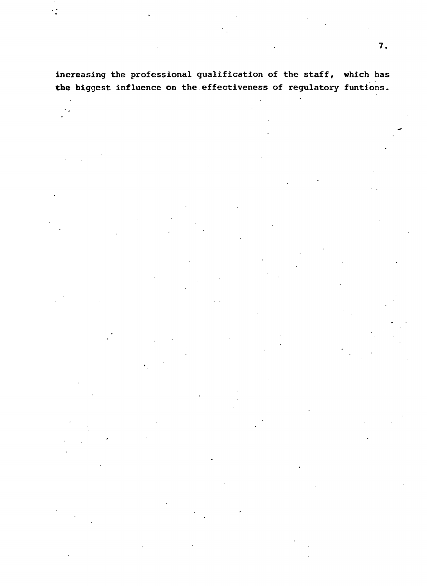## increasing the professional qualification of the staff, which has the biggest influence on the effectiveness of regulatory funtions.

÷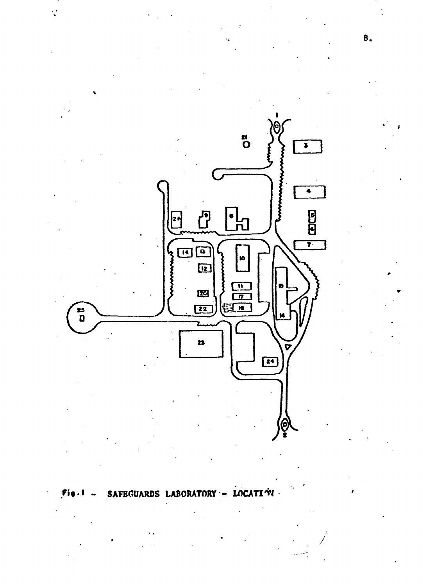

#### SAFEGUARDS LABORATORY LOCATI TH  $\qquad \qquad \bullet$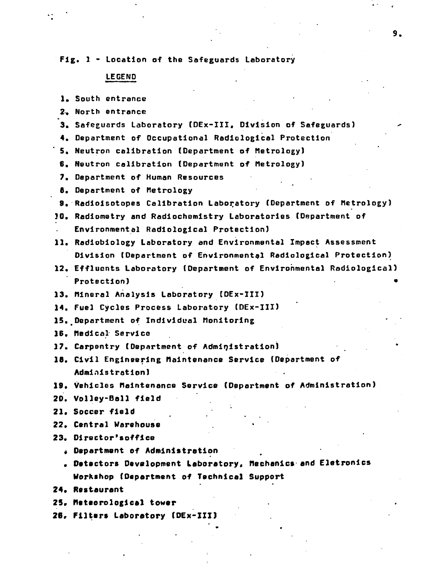**Fig. 1 - Location of the Safeguards Laboratory**

#### **LEGEND**

- **1.** South entrance
- 2. North entrance
- 3» Safeguards Laboratory (DEx-III, Division of Safeguards) -
- 4. Department of Occupational Radiological Protection
- 5. Neutron calibration (Department of Metrology)
- 6. Neutron calibration (Department of Metrology)
- 7. Department of Human Resources
- 8. Department of Metrology
- 9. Radioisotopes Calibration Laboratory (Department of Metrology)
- 10. Radiometry and Radlochemistry Laboratories (Department of Environmental Radiological Protection)
- 11. Radloblology Laboratory and Environmental Impact Assessment Division (Department of Environmental Radiological Protection)
- 12. Effluents Laboratory (Department of Environmental Radiological) Protection) •
- 13. Mineral Analysis Laboratory (DEx-III)
- 14. Fuel Cycles Process Laboratory (DEx-III)
- 15. Department of Individual Monitoring
- 16. Medical Service
- 17. Carpentry (Department of Administration)
- 16. Civil Engineering Maintenance Service (Department of Administration)
- 19» Vehicles Maintenance Service (Department of Administration)
- 20. Volley-Boll field
- 21. Soccer field
- 22» Central Warehouse
- **23. Dlrector'sofflce**
	- **Department of Administration**
	- **Detectors Development Laboratory\* Mechanics and Eletronics Workshop (Department of Technical Support**
- **24. Restaurant**
- **25» Msteorologlcal tower**
- **26, Filters Laboratory (DEx-III)**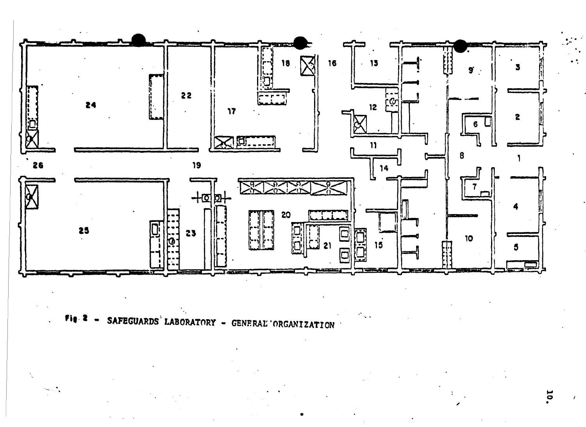

**- SAFEGUARDS LABORATORY - GENERAL'ORGANIZATION**

O